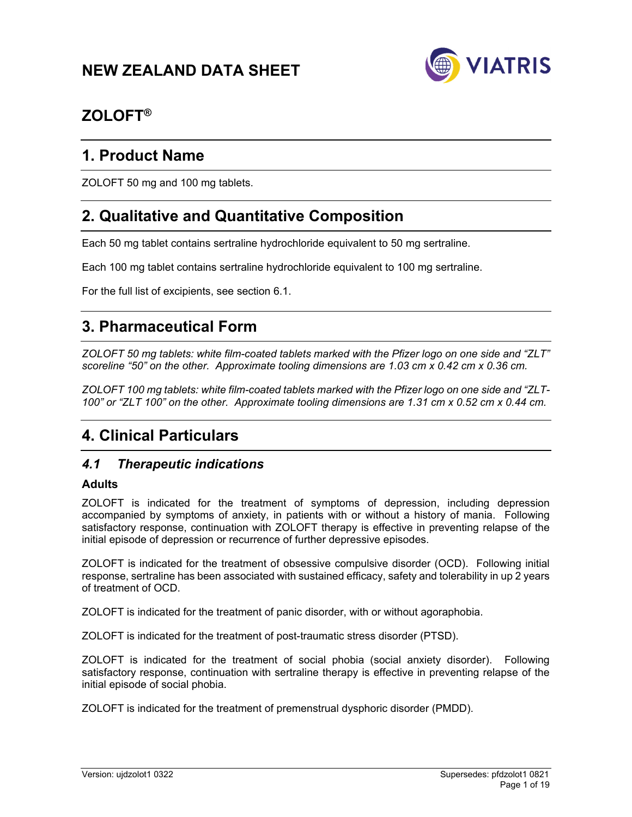# **NEW ZEALAND DATA SHEET**



# **ZOLOFT®**

# **1. Product Name**

ZOLOFT 50 mg and 100 mg tablets.

# **2. Qualitative and Quantitative Composition**

Each 50 mg tablet contains sertraline hydrochloride equivalent to 50 mg sertraline.

Each 100 mg tablet contains sertraline hydrochloride equivalent to 100 mg sertraline.

For the full list of excipients, see section 6.1.

# **3. Pharmaceutical Form**

*ZOLOFT 50 mg tablets: white film-coated tablets marked with the Pfizer logo on one side and "ZLT" scoreline "50" on the other. Approximate tooling dimensions are 1.03 cm x 0.42 cm x 0.36 cm.* 

*ZOLOFT 100 mg tablets: white film-coated tablets marked with the Pfizer logo on one side and "ZLT-100" or "ZLT 100" on the other. Approximate tooling dimensions are 1.31 cm x 0.52 cm x 0.44 cm.* 

# **4. Clinical Particulars**

# *4.1 Therapeutic indications*

## **Adults**

ZOLOFT is indicated for the treatment of symptoms of depression, including depression accompanied by symptoms of anxiety, in patients with or without a history of mania. Following satisfactory response, continuation with ZOLOFT therapy is effective in preventing relapse of the initial episode of depression or recurrence of further depressive episodes.

ZOLOFT is indicated for the treatment of obsessive compulsive disorder (OCD). Following initial response, sertraline has been associated with sustained efficacy, safety and tolerability in up 2 years of treatment of OCD.

ZOLOFT is indicated for the treatment of panic disorder, with or without agoraphobia.

ZOLOFT is indicated for the treatment of post-traumatic stress disorder (PTSD).

ZOLOFT is indicated for the treatment of social phobia (social anxiety disorder). Following satisfactory response, continuation with sertraline therapy is effective in preventing relapse of the initial episode of social phobia.

ZOLOFT is indicated for the treatment of premenstrual dysphoric disorder (PMDD).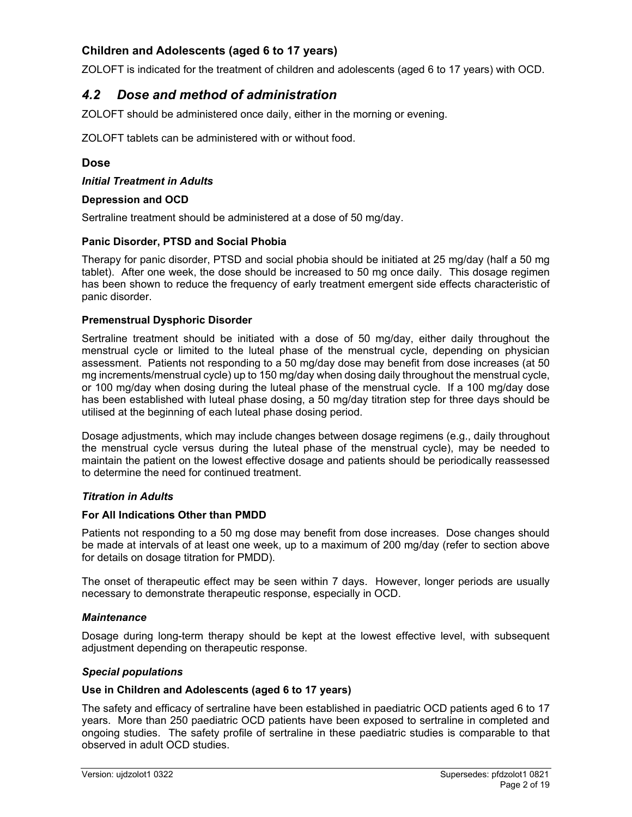# **Children and Adolescents (aged 6 to 17 years)**

ZOLOFT is indicated for the treatment of children and adolescents (aged 6 to 17 years) with OCD.

# *4.2 Dose and method of administration*

ZOLOFT should be administered once daily, either in the morning or evening.

ZOLOFT tablets can be administered with or without food.

#### **Dose**

*Initial Treatment in Adults* 

#### **Depression and OCD**

Sertraline treatment should be administered at a dose of 50 mg/day.

#### **Panic Disorder, PTSD and Social Phobia**

Therapy for panic disorder, PTSD and social phobia should be initiated at 25 mg/day (half a 50 mg tablet). After one week, the dose should be increased to 50 mg once daily. This dosage regimen has been shown to reduce the frequency of early treatment emergent side effects characteristic of panic disorder.

#### **Premenstrual Dysphoric Disorder**

Sertraline treatment should be initiated with a dose of 50 mg/day, either daily throughout the menstrual cycle or limited to the luteal phase of the menstrual cycle, depending on physician assessment. Patients not responding to a 50 mg/day dose may benefit from dose increases (at 50 mg increments/menstrual cycle) up to 150 mg/day when dosing daily throughout the menstrual cycle, or 100 mg/day when dosing during the luteal phase of the menstrual cycle. If a 100 mg/day dose has been established with luteal phase dosing, a 50 mg/day titration step for three days should be utilised at the beginning of each luteal phase dosing period.

Dosage adjustments, which may include changes between dosage regimens (e.g., daily throughout the menstrual cycle versus during the luteal phase of the menstrual cycle), may be needed to maintain the patient on the lowest effective dosage and patients should be periodically reassessed to determine the need for continued treatment.

#### *Titration in Adults*

#### **For All Indications Other than PMDD**

Patients not responding to a 50 mg dose may benefit from dose increases. Dose changes should be made at intervals of at least one week, up to a maximum of 200 mg/day (refer to section above for details on dosage titration for PMDD).

The onset of therapeutic effect may be seen within 7 days. However, longer periods are usually necessary to demonstrate therapeutic response, especially in OCD.

#### *Maintenance*

Dosage during long-term therapy should be kept at the lowest effective level, with subsequent adjustment depending on therapeutic response.

#### *Special populations*

#### **Use in Children and Adolescents (aged 6 to 17 years)**

The safety and efficacy of sertraline have been established in paediatric OCD patients aged 6 to 17 years. More than 250 paediatric OCD patients have been exposed to sertraline in completed and ongoing studies. The safety profile of sertraline in these paediatric studies is comparable to that observed in adult OCD studies.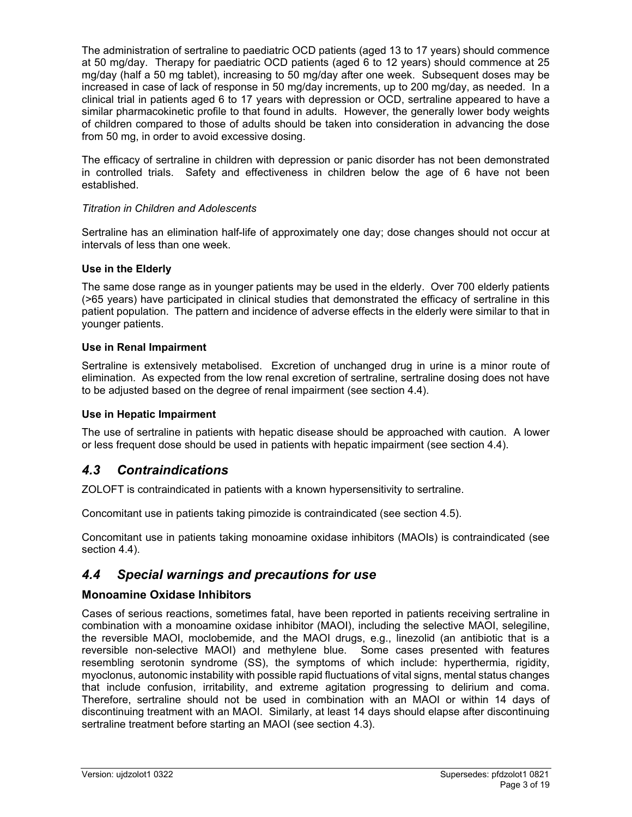The administration of sertraline to paediatric OCD patients (aged 13 to 17 years) should commence at 50 mg/day. Therapy for paediatric OCD patients (aged 6 to 12 years) should commence at 25 mg/day (half a 50 mg tablet), increasing to 50 mg/day after one week. Subsequent doses may be increased in case of lack of response in 50 mg/day increments, up to 200 mg/day, as needed. In a clinical trial in patients aged 6 to 17 years with depression or OCD, sertraline appeared to have a similar pharmacokinetic profile to that found in adults. However, the generally lower body weights of children compared to those of adults should be taken into consideration in advancing the dose from 50 mg, in order to avoid excessive dosing.

The efficacy of sertraline in children with depression or panic disorder has not been demonstrated in controlled trials. Safety and effectiveness in children below the age of 6 have not been established.

#### *Titration in Children and Adolescents*

Sertraline has an elimination half-life of approximately one day; dose changes should not occur at intervals of less than one week.

#### **Use in the Elderly**

The same dose range as in younger patients may be used in the elderly. Over 700 elderly patients (>65 years) have participated in clinical studies that demonstrated the efficacy of sertraline in this patient population. The pattern and incidence of adverse effects in the elderly were similar to that in younger patients.

#### **Use in Renal Impairment**

Sertraline is extensively metabolised. Excretion of unchanged drug in urine is a minor route of elimination. As expected from the low renal excretion of sertraline, sertraline dosing does not have to be adjusted based on the degree of renal impairment (see section 4.4).

#### **Use in Hepatic Impairment**

The use of sertraline in patients with hepatic disease should be approached with caution. A lower or less frequent dose should be used in patients with hepatic impairment (see section 4.4).

# *4.3 Contraindications*

ZOLOFT is contraindicated in patients with a known hypersensitivity to sertraline.

Concomitant use in patients taking pimozide is contraindicated (see section 4.5).

Concomitant use in patients taking monoamine oxidase inhibitors (MAOIs) is contraindicated (see section 4.4).

# *4.4 Special warnings and precautions for use*

## **Monoamine Oxidase Inhibitors**

Cases of serious reactions, sometimes fatal, have been reported in patients receiving sertraline in combination with a monoamine oxidase inhibitor (MAOI), including the selective MAOI, selegiline, the reversible MAOI, moclobemide, and the MAOI drugs, e.g., linezolid (an antibiotic that is a reversible non-selective MAOI) and methylene blue. Some cases presented with features resembling serotonin syndrome (SS), the symptoms of which include: hyperthermia, rigidity, myoclonus, autonomic instability with possible rapid fluctuations of vital signs, mental status changes that include confusion, irritability, and extreme agitation progressing to delirium and coma. Therefore, sertraline should not be used in combination with an MAOI or within 14 days of discontinuing treatment with an MAOI. Similarly, at least 14 days should elapse after discontinuing sertraline treatment before starting an MAOI (see section 4.3).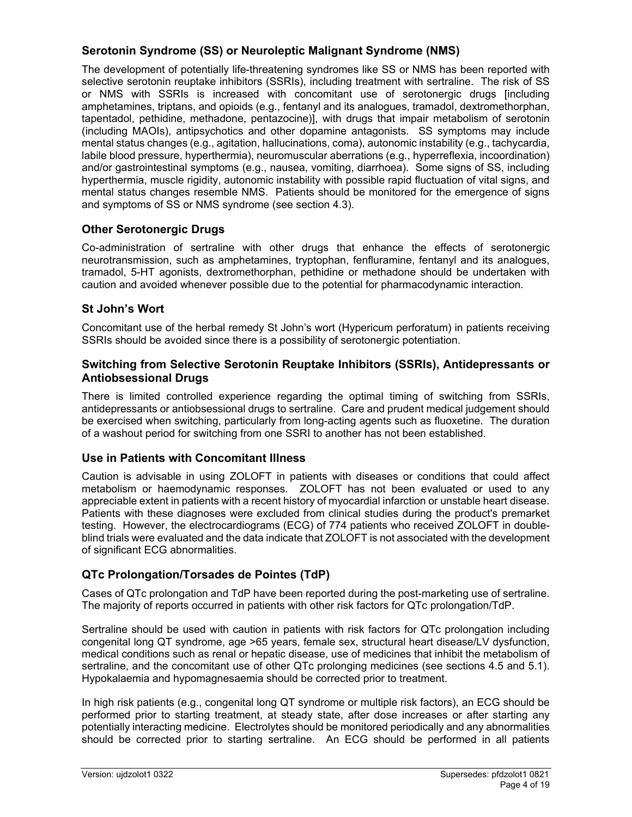# **Serotonin Syndrome (SS) or Neuroleptic Malignant Syndrome (NMS)**

The development of potentially life-threatening syndromes like SS or NMS has been reported with selective serotonin reuptake inhibitors (SSRIs), including treatment with sertraline. The risk of SS or NMS with SSRIs is increased with concomitant use of serotonergic drugs [including amphetamines, triptans, and opioids (e.g., fentanyl and its analogues, tramadol, dextromethorphan, tapentadol, pethidine, methadone, pentazocine)], with drugs that impair metabolism of serotonin (including MAOIs), antipsychotics and other dopamine antagonists. SS symptoms may include mental status changes (e.g., agitation, hallucinations, coma), autonomic instability (e.g., tachycardia, labile blood pressure, hyperthermia), neuromuscular aberrations (e.g., hyperreflexia, incoordination) and/or gastrointestinal symptoms (e.g., nausea, vomiting, diarrhoea). Some signs of SS, including hyperthermia, muscle rigidity, autonomic instability with possible rapid fluctuation of vital signs, and mental status changes resemble NMS. Patients should be monitored for the emergence of signs and symptoms of SS or NMS syndrome (see section 4.3).

# **Other Serotonergic Drugs**

Co-administration of sertraline with other drugs that enhance the effects of serotonergic neurotransmission, such as amphetamines, tryptophan, fenfluramine, fentanyl and its analogues, tramadol, 5-HT agonists, dextromethorphan, pethidine or methadone should be undertaken with caution and avoided whenever possible due to the potential for pharmacodynamic interaction.

# **St John's Wort**

Concomitant use of the herbal remedy St John's wort (Hypericum perforatum) in patients receiving SSRIs should be avoided since there is a possibility of serotonergic potentiation.

## **Switching from Selective Serotonin Reuptake Inhibitors (SSRIs), Antidepressants or Antiobsessional Drugs**

There is limited controlled experience regarding the optimal timing of switching from SSRIs, antidepressants or antiobsessional drugs to sertraline. Care and prudent medical judgement should be exercised when switching, particularly from long-acting agents such as fluoxetine. The duration of a washout period for switching from one SSRI to another has not been established.

# **Use in Patients with Concomitant Illness**

Caution is advisable in using ZOLOFT in patients with diseases or conditions that could affect metabolism or haemodynamic responses. ZOLOFT has not been evaluated or used to any appreciable extent in patients with a recent history of myocardial infarction or unstable heart disease. Patients with these diagnoses were excluded from clinical studies during the product's premarket testing. However, the electrocardiograms (ECG) of 774 patients who received ZOLOFT in doubleblind trials were evaluated and the data indicate that ZOLOFT is not associated with the development of significant ECG abnormalities.

# **QTc Prolongation/Torsades de Pointes (TdP)**

Cases of QTc prolongation and TdP have been reported during the post-marketing use of sertraline. The majority of reports occurred in patients with other risk factors for QTc prolongation/TdP.

Sertraline should be used with caution in patients with risk factors for QTc prolongation including congenital long QT syndrome, age >65 years, female sex, structural heart disease/LV dysfunction, medical conditions such as renal or hepatic disease, use of medicines that inhibit the metabolism of sertraline, and the concomitant use of other QTc prolonging medicines (see sections 4.5 and 5.1). Hypokalaemia and hypomagnesaemia should be corrected prior to treatment.

In high risk patients (e.g., congenital long QT syndrome or multiple risk factors), an ECG should be performed prior to starting treatment, at steady state, after dose increases or after starting any potentially interacting medicine. Electrolytes should be monitored periodically and any abnormalities should be corrected prior to starting sertraline. An ECG should be performed in all patients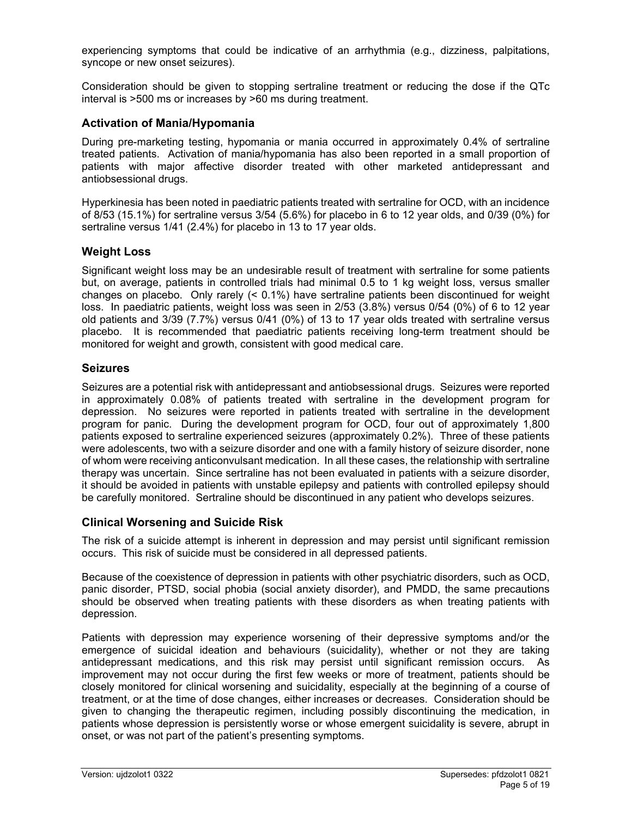experiencing symptoms that could be indicative of an arrhythmia (e.g., dizziness, palpitations, syncope or new onset seizures).

Consideration should be given to stopping sertraline treatment or reducing the dose if the QTc interval is >500 ms or increases by >60 ms during treatment.

### **Activation of Mania/Hypomania**

During pre-marketing testing, hypomania or mania occurred in approximately 0.4% of sertraline treated patients. Activation of mania/hypomania has also been reported in a small proportion of patients with major affective disorder treated with other marketed antidepressant and antiobsessional drugs.

Hyperkinesia has been noted in paediatric patients treated with sertraline for OCD, with an incidence of 8/53 (15.1%) for sertraline versus 3/54 (5.6%) for placebo in 6 to 12 year olds, and 0/39 (0%) for sertraline versus 1/41 (2.4%) for placebo in 13 to 17 year olds.

## **Weight Loss**

Significant weight loss may be an undesirable result of treatment with sertraline for some patients but, on average, patients in controlled trials had minimal 0.5 to 1 kg weight loss, versus smaller changes on placebo. Only rarely (< 0.1%) have sertraline patients been discontinued for weight loss. In paediatric patients, weight loss was seen in 2/53 (3.8%) versus 0/54 (0%) of 6 to 12 year old patients and 3/39 (7.7%) versus 0/41 (0%) of 13 to 17 year olds treated with sertraline versus placebo. It is recommended that paediatric patients receiving long-term treatment should be monitored for weight and growth, consistent with good medical care.

#### **Seizures**

Seizures are a potential risk with antidepressant and antiobsessional drugs. Seizures were reported in approximately 0.08% of patients treated with sertraline in the development program for depression. No seizures were reported in patients treated with sertraline in the development program for panic. During the development program for OCD, four out of approximately 1,800 patients exposed to sertraline experienced seizures (approximately 0.2%). Three of these patients were adolescents, two with a seizure disorder and one with a family history of seizure disorder, none of whom were receiving anticonvulsant medication. In all these cases, the relationship with sertraline therapy was uncertain. Since sertraline has not been evaluated in patients with a seizure disorder, it should be avoided in patients with unstable epilepsy and patients with controlled epilepsy should be carefully monitored. Sertraline should be discontinued in any patient who develops seizures.

## **Clinical Worsening and Suicide Risk**

The risk of a suicide attempt is inherent in depression and may persist until significant remission occurs. This risk of suicide must be considered in all depressed patients.

Because of the coexistence of depression in patients with other psychiatric disorders, such as OCD, panic disorder, PTSD, social phobia (social anxiety disorder), and PMDD, the same precautions should be observed when treating patients with these disorders as when treating patients with depression.

Patients with depression may experience worsening of their depressive symptoms and/or the emergence of suicidal ideation and behaviours (suicidality), whether or not they are taking antidepressant medications, and this risk may persist until significant remission occurs. As improvement may not occur during the first few weeks or more of treatment, patients should be closely monitored for clinical worsening and suicidality, especially at the beginning of a course of treatment, or at the time of dose changes, either increases or decreases. Consideration should be given to changing the therapeutic regimen, including possibly discontinuing the medication, in patients whose depression is persistently worse or whose emergent suicidality is severe, abrupt in onset, or was not part of the patient's presenting symptoms.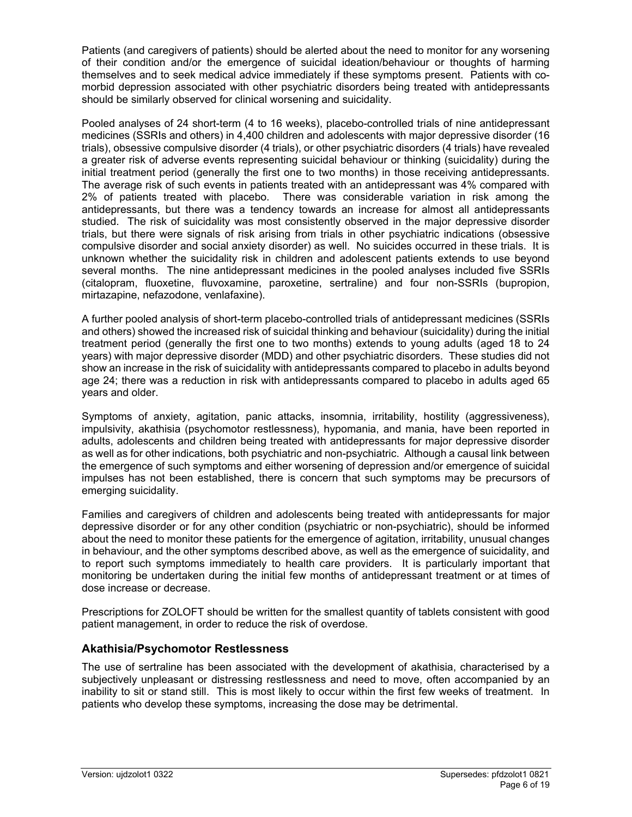Patients (and caregivers of patients) should be alerted about the need to monitor for any worsening of their condition and/or the emergence of suicidal ideation/behaviour or thoughts of harming themselves and to seek medical advice immediately if these symptoms present. Patients with comorbid depression associated with other psychiatric disorders being treated with antidepressants should be similarly observed for clinical worsening and suicidality.

Pooled analyses of 24 short-term (4 to 16 weeks), placebo-controlled trials of nine antidepressant medicines (SSRIs and others) in 4,400 children and adolescents with major depressive disorder (16 trials), obsessive compulsive disorder (4 trials), or other psychiatric disorders (4 trials) have revealed a greater risk of adverse events representing suicidal behaviour or thinking (suicidality) during the initial treatment period (generally the first one to two months) in those receiving antidepressants. The average risk of such events in patients treated with an antidepressant was 4% compared with 2% of patients treated with placebo. There was considerable variation in risk among the antidepressants, but there was a tendency towards an increase for almost all antidepressants studied. The risk of suicidality was most consistently observed in the major depressive disorder trials, but there were signals of risk arising from trials in other psychiatric indications (obsessive compulsive disorder and social anxiety disorder) as well. No suicides occurred in these trials. It is unknown whether the suicidality risk in children and adolescent patients extends to use beyond several months. The nine antidepressant medicines in the pooled analyses included five SSRIs (citalopram, fluoxetine, fluvoxamine, paroxetine, sertraline) and four non-SSRIs (bupropion, mirtazapine, nefazodone, venlafaxine).

A further pooled analysis of short-term placebo-controlled trials of antidepressant medicines (SSRIs and others) showed the increased risk of suicidal thinking and behaviour (suicidality) during the initial treatment period (generally the first one to two months) extends to young adults (aged 18 to 24 years) with major depressive disorder (MDD) and other psychiatric disorders. These studies did not show an increase in the risk of suicidality with antidepressants compared to placebo in adults beyond age 24; there was a reduction in risk with antidepressants compared to placebo in adults aged 65 years and older.

Symptoms of anxiety, agitation, panic attacks, insomnia, irritability, hostility (aggressiveness), impulsivity, akathisia (psychomotor restlessness), hypomania, and mania, have been reported in adults, adolescents and children being treated with antidepressants for major depressive disorder as well as for other indications, both psychiatric and non-psychiatric. Although a causal link between the emergence of such symptoms and either worsening of depression and/or emergence of suicidal impulses has not been established, there is concern that such symptoms may be precursors of emerging suicidality.

Families and caregivers of children and adolescents being treated with antidepressants for major depressive disorder or for any other condition (psychiatric or non-psychiatric), should be informed about the need to monitor these patients for the emergence of agitation, irritability, unusual changes in behaviour, and the other symptoms described above, as well as the emergence of suicidality, and to report such symptoms immediately to health care providers. It is particularly important that monitoring be undertaken during the initial few months of antidepressant treatment or at times of dose increase or decrease.

Prescriptions for ZOLOFT should be written for the smallest quantity of tablets consistent with good patient management, in order to reduce the risk of overdose.

## **Akathisia/Psychomotor Restlessness**

The use of sertraline has been associated with the development of akathisia, characterised by a subjectively unpleasant or distressing restlessness and need to move, often accompanied by an inability to sit or stand still. This is most likely to occur within the first few weeks of treatment. In patients who develop these symptoms, increasing the dose may be detrimental.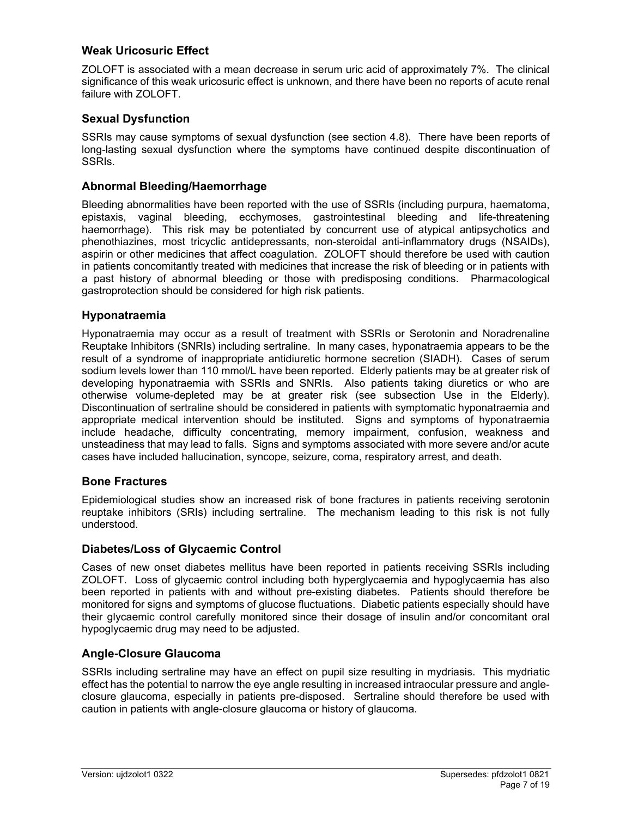## **Weak Uricosuric Effect**

ZOLOFT is associated with a mean decrease in serum uric acid of approximately 7%. The clinical significance of this weak uricosuric effect is unknown, and there have been no reports of acute renal failure with ZOLOFT.

## **Sexual Dysfunction**

SSRIs may cause symptoms of sexual dysfunction (see section 4.8). There have been reports of long-lasting sexual dysfunction where the symptoms have continued despite discontinuation of SSRIs.

## **Abnormal Bleeding/Haemorrhage**

Bleeding abnormalities have been reported with the use of SSRIs (including purpura, haematoma, epistaxis, vaginal bleeding, ecchymoses, gastrointestinal bleeding and life-threatening haemorrhage). This risk may be potentiated by concurrent use of atypical antipsychotics and phenothiazines, most tricyclic antidepressants, non-steroidal anti-inflammatory drugs (NSAIDs), aspirin or other medicines that affect coagulation. ZOLOFT should therefore be used with caution in patients concomitantly treated with medicines that increase the risk of bleeding or in patients with a past history of abnormal bleeding or those with predisposing conditions. Pharmacological gastroprotection should be considered for high risk patients.

## **Hyponatraemia**

Hyponatraemia may occur as a result of treatment with SSRIs or Serotonin and Noradrenaline Reuptake Inhibitors (SNRIs) including sertraline. In many cases, hyponatraemia appears to be the result of a syndrome of inappropriate antidiuretic hormone secretion (SIADH). Cases of serum sodium levels lower than 110 mmol/L have been reported. Elderly patients may be at greater risk of developing hyponatraemia with SSRIs and SNRIs. Also patients taking diuretics or who are otherwise volume-depleted may be at greater risk (see subsection Use in the Elderly). Discontinuation of sertraline should be considered in patients with symptomatic hyponatraemia and appropriate medical intervention should be instituted. Signs and symptoms of hyponatraemia include headache, difficulty concentrating, memory impairment, confusion, weakness and unsteadiness that may lead to falls. Signs and symptoms associated with more severe and/or acute cases have included hallucination, syncope, seizure, coma, respiratory arrest, and death.

## **Bone Fractures**

Epidemiological studies show an increased risk of bone fractures in patients receiving serotonin reuptake inhibitors (SRIs) including sertraline. The mechanism leading to this risk is not fully understood.

## **Diabetes/Loss of Glycaemic Control**

Cases of new onset diabetes mellitus have been reported in patients receiving SSRIs including ZOLOFT. Loss of glycaemic control including both hyperglycaemia and hypoglycaemia has also been reported in patients with and without pre-existing diabetes. Patients should therefore be monitored for signs and symptoms of glucose fluctuations. Diabetic patients especially should have their glycaemic control carefully monitored since their dosage of insulin and/or concomitant oral hypoglycaemic drug may need to be adjusted.

## **Angle-Closure Glaucoma**

SSRIs including sertraline may have an effect on pupil size resulting in mydriasis. This mydriatic effect has the potential to narrow the eye angle resulting in increased intraocular pressure and angleclosure glaucoma, especially in patients pre-disposed. Sertraline should therefore be used with caution in patients with angle-closure glaucoma or history of glaucoma.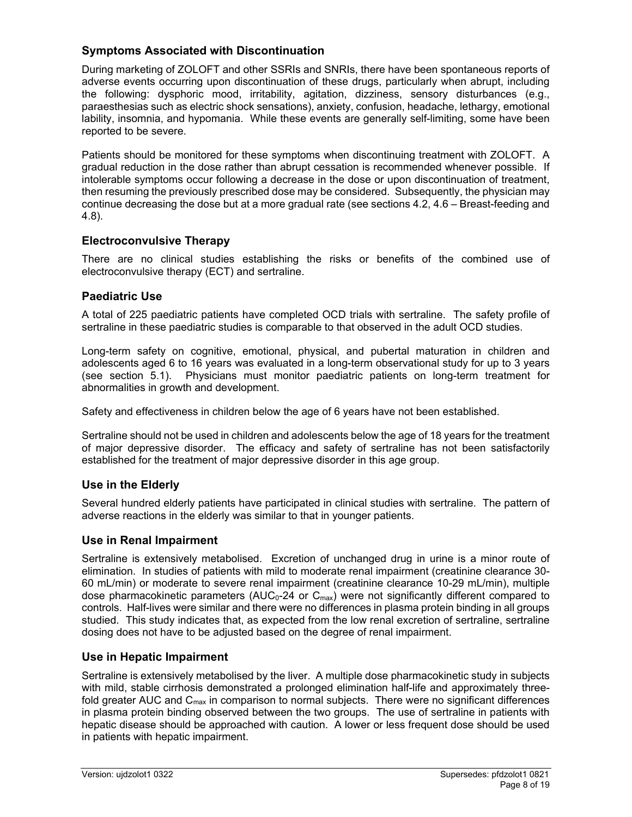# **Symptoms Associated with Discontinuation**

During marketing of ZOLOFT and other SSRIs and SNRIs, there have been spontaneous reports of adverse events occurring upon discontinuation of these drugs, particularly when abrupt, including the following: dysphoric mood, irritability, agitation, dizziness, sensory disturbances (e.g., paraesthesias such as electric shock sensations), anxiety, confusion, headache, lethargy, emotional lability, insomnia, and hypomania. While these events are generally self-limiting, some have been reported to be severe.

Patients should be monitored for these symptoms when discontinuing treatment with ZOLOFT. A gradual reduction in the dose rather than abrupt cessation is recommended whenever possible. If intolerable symptoms occur following a decrease in the dose or upon discontinuation of treatment, then resuming the previously prescribed dose may be considered. Subsequently, the physician may continue decreasing the dose but at a more gradual rate (see sections 4.2, 4.6 – Breast-feeding and 4.8).

## **Electroconvulsive Therapy**

There are no clinical studies establishing the risks or benefits of the combined use of electroconvulsive therapy (ECT) and sertraline.

# **Paediatric Use**

A total of 225 paediatric patients have completed OCD trials with sertraline. The safety profile of sertraline in these paediatric studies is comparable to that observed in the adult OCD studies.

Long-term safety on cognitive, emotional, physical, and pubertal maturation in children and adolescents aged 6 to 16 years was evaluated in a long-term observational study for up to 3 years (see section 5.1). Physicians must monitor paediatric patients on long-term treatment for abnormalities in growth and development.

Safety and effectiveness in children below the age of 6 years have not been established.

Sertraline should not be used in children and adolescents below the age of 18 years for the treatment of major depressive disorder. The efficacy and safety of sertraline has not been satisfactorily established for the treatment of major depressive disorder in this age group.

# **Use in the Elderly**

Several hundred elderly patients have participated in clinical studies with sertraline. The pattern of adverse reactions in the elderly was similar to that in younger patients.

# **Use in Renal Impairment**

Sertraline is extensively metabolised. Excretion of unchanged drug in urine is a minor route of elimination. In studies of patients with mild to moderate renal impairment (creatinine clearance 30- 60 mL/min) or moderate to severe renal impairment (creatinine clearance 10-29 mL/min), multiple dose pharmacokinetic parameters (AUC<sub>0</sub>-24 or C<sub>max</sub>) were not significantly different compared to controls. Half-lives were similar and there were no differences in plasma protein binding in all groups studied. This study indicates that, as expected from the low renal excretion of sertraline, sertraline dosing does not have to be adjusted based on the degree of renal impairment.

## **Use in Hepatic Impairment**

Sertraline is extensively metabolised by the liver. A multiple dose pharmacokinetic study in subjects with mild, stable cirrhosis demonstrated a prolonged elimination half-life and approximately threefold greater AUC and  $C_{\text{max}}$  in comparison to normal subjects. There were no significant differences in plasma protein binding observed between the two groups. The use of sertraline in patients with hepatic disease should be approached with caution. A lower or less frequent dose should be used in patients with hepatic impairment.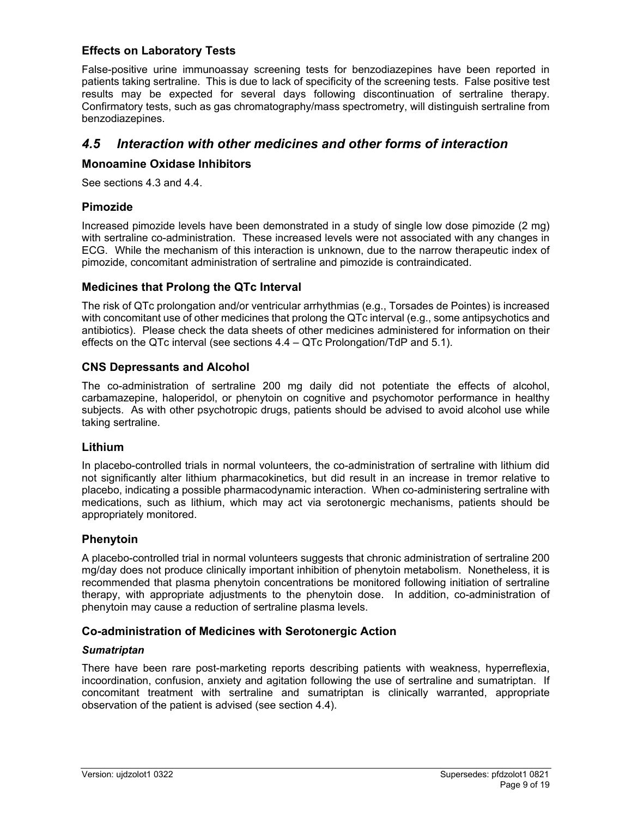## **Effects on Laboratory Tests**

False-positive urine immunoassay screening tests for benzodiazepines have been reported in patients taking sertraline. This is due to lack of specificity of the screening tests. False positive test results may be expected for several days following discontinuation of sertraline therapy. Confirmatory tests, such as gas chromatography/mass spectrometry, will distinguish sertraline from benzodiazepines.

# *4.5 Interaction with other medicines and other forms of interaction*

### **Monoamine Oxidase Inhibitors**

See sections 4.3 and 4.4.

#### **Pimozide**

Increased pimozide levels have been demonstrated in a study of single low dose pimozide (2 mg) with sertraline co-administration. These increased levels were not associated with any changes in ECG. While the mechanism of this interaction is unknown, due to the narrow therapeutic index of pimozide, concomitant administration of sertraline and pimozide is contraindicated.

#### **Medicines that Prolong the QTc Interval**

The risk of QTc prolongation and/or ventricular arrhythmias (e.g., Torsades de Pointes) is increased with concomitant use of other medicines that prolong the QTc interval (e.g., some antipsychotics and antibiotics). Please check the data sheets of other medicines administered for information on their effects on the QTc interval (see sections 4.4 – QTc Prolongation/TdP and 5.1).

#### **CNS Depressants and Alcohol**

The co-administration of sertraline 200 mg daily did not potentiate the effects of alcohol, carbamazepine, haloperidol, or phenytoin on cognitive and psychomotor performance in healthy subjects. As with other psychotropic drugs, patients should be advised to avoid alcohol use while taking sertraline.

#### **Lithium**

In placebo-controlled trials in normal volunteers, the co-administration of sertraline with lithium did not significantly alter lithium pharmacokinetics, but did result in an increase in tremor relative to placebo, indicating a possible pharmacodynamic interaction. When co-administering sertraline with medications, such as lithium, which may act via serotonergic mechanisms, patients should be appropriately monitored.

## **Phenytoin**

A placebo-controlled trial in normal volunteers suggests that chronic administration of sertraline 200 mg/day does not produce clinically important inhibition of phenytoin metabolism. Nonetheless, it is recommended that plasma phenytoin concentrations be monitored following initiation of sertraline therapy, with appropriate adjustments to the phenytoin dose. In addition, co-administration of phenytoin may cause a reduction of sertraline plasma levels.

## **Co-administration of Medicines with Serotonergic Action**

#### *Sumatriptan*

There have been rare post-marketing reports describing patients with weakness, hyperreflexia, incoordination, confusion, anxiety and agitation following the use of sertraline and sumatriptan. If concomitant treatment with sertraline and sumatriptan is clinically warranted, appropriate observation of the patient is advised (see section 4.4).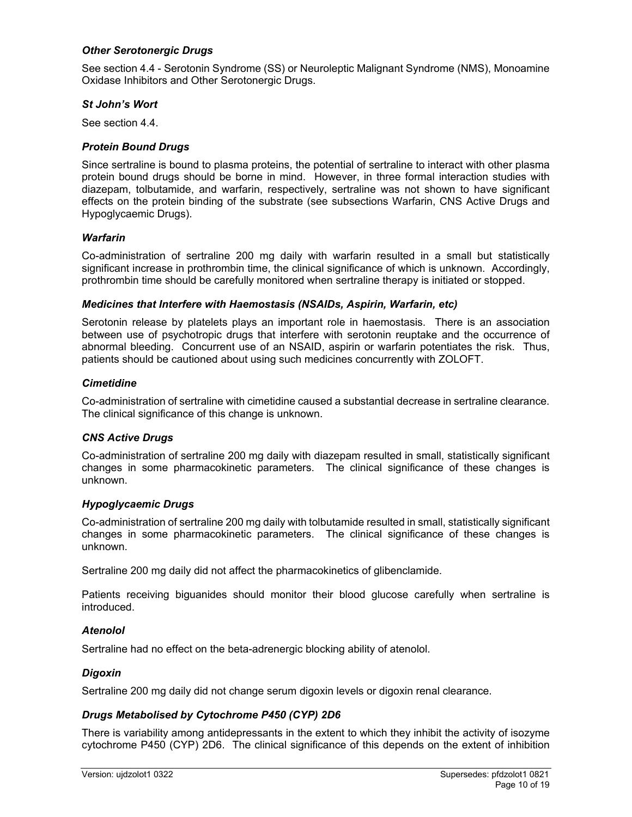#### *Other Serotonergic Drugs*

See section 4.4 - Serotonin Syndrome (SS) or Neuroleptic Malignant Syndrome (NMS), Monoamine Oxidase Inhibitors and Other Serotonergic Drugs.

#### *St John's Wort*

See section 4.4.

### *Protein Bound Drugs*

Since sertraline is bound to plasma proteins, the potential of sertraline to interact with other plasma protein bound drugs should be borne in mind. However, in three formal interaction studies with diazepam, tolbutamide, and warfarin, respectively, sertraline was not shown to have significant effects on the protein binding of the substrate (see subsections Warfarin, CNS Active Drugs and Hypoglycaemic Drugs).

#### *Warfarin*

Co-administration of sertraline 200 mg daily with warfarin resulted in a small but statistically significant increase in prothrombin time, the clinical significance of which is unknown. Accordingly, prothrombin time should be carefully monitored when sertraline therapy is initiated or stopped.

#### *Medicines that Interfere with Haemostasis (NSAIDs, Aspirin, Warfarin, etc)*

Serotonin release by platelets plays an important role in haemostasis. There is an association between use of psychotropic drugs that interfere with serotonin reuptake and the occurrence of abnormal bleeding. Concurrent use of an NSAID, aspirin or warfarin potentiates the risk. Thus, patients should be cautioned about using such medicines concurrently with ZOLOFT.

#### *Cimetidine*

Co-administration of sertraline with cimetidine caused a substantial decrease in sertraline clearance. The clinical significance of this change is unknown.

## *CNS Active Drugs*

Co-administration of sertraline 200 mg daily with diazepam resulted in small, statistically significant changes in some pharmacokinetic parameters. The clinical significance of these changes is unknown.

#### *Hypoglycaemic Drugs*

Co-administration of sertraline 200 mg daily with tolbutamide resulted in small, statistically significant changes in some pharmacokinetic parameters. The clinical significance of these changes is unknown.

Sertraline 200 mg daily did not affect the pharmacokinetics of glibenclamide.

Patients receiving biguanides should monitor their blood glucose carefully when sertraline is introduced.

## *Atenolol*

Sertraline had no effect on the beta-adrenergic blocking ability of atenolol.

#### *Digoxin*

Sertraline 200 mg daily did not change serum digoxin levels or digoxin renal clearance.

#### *Drugs Metabolised by Cytochrome P450 (CYP) 2D6*

There is variability among antidepressants in the extent to which they inhibit the activity of isozyme cytochrome P450 (CYP) 2D6. The clinical significance of this depends on the extent of inhibition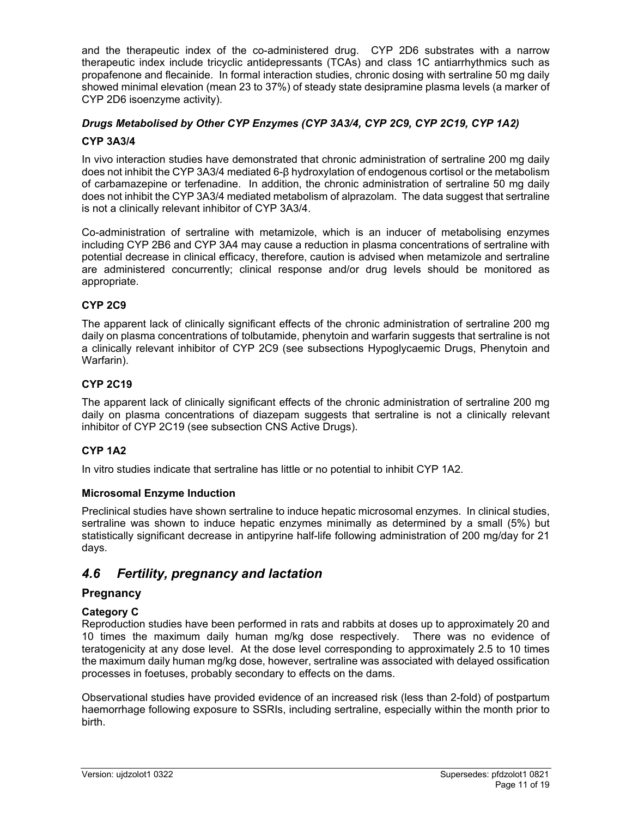and the therapeutic index of the co-administered drug. CYP 2D6 substrates with a narrow therapeutic index include tricyclic antidepressants (TCAs) and class 1C antiarrhythmics such as propafenone and flecainide. In formal interaction studies, chronic dosing with sertraline 50 mg daily showed minimal elevation (mean 23 to 37%) of steady state desipramine plasma levels (a marker of CYP 2D6 isoenzyme activity).

## *Drugs Metabolised by Other CYP Enzymes (CYP 3A3/4, CYP 2C9, CYP 2C19, CYP 1A2)*

## **CYP 3A3/4**

In vivo interaction studies have demonstrated that chronic administration of sertraline 200 mg daily does not inhibit the CYP 3A3/4 mediated 6-β hydroxylation of endogenous cortisol or the metabolism of carbamazepine or terfenadine. In addition, the chronic administration of sertraline 50 mg daily does not inhibit the CYP 3A3/4 mediated metabolism of alprazolam. The data suggest that sertraline is not a clinically relevant inhibitor of CYP 3A3/4.

Co-administration of sertraline with metamizole, which is an inducer of metabolising enzymes including CYP 2B6 and CYP 3A4 may cause a reduction in plasma concentrations of sertraline with potential decrease in clinical efficacy, therefore, caution is advised when metamizole and sertraline are administered concurrently; clinical response and/or drug levels should be monitored as appropriate.

## **CYP 2C9**

The apparent lack of clinically significant effects of the chronic administration of sertraline 200 mg daily on plasma concentrations of tolbutamide, phenytoin and warfarin suggests that sertraline is not a clinically relevant inhibitor of CYP 2C9 (see subsections Hypoglycaemic Drugs, Phenytoin and Warfarin).

#### **CYP 2C19**

The apparent lack of clinically significant effects of the chronic administration of sertraline 200 mg daily on plasma concentrations of diazepam suggests that sertraline is not a clinically relevant inhibitor of CYP 2C19 (see subsection CNS Active Drugs).

## **CYP 1A2**

In vitro studies indicate that sertraline has little or no potential to inhibit CYP 1A2.

#### **Microsomal Enzyme Induction**

Preclinical studies have shown sertraline to induce hepatic microsomal enzymes. In clinical studies, sertraline was shown to induce hepatic enzymes minimally as determined by a small (5%) but statistically significant decrease in antipyrine half-life following administration of 200 mg/day for 21 days.

# *4.6 Fertility, pregnancy and lactation*

## **Pregnancy**

#### **Category C**

Reproduction studies have been performed in rats and rabbits at doses up to approximately 20 and 10 times the maximum daily human mg/kg dose respectively. There was no evidence of teratogenicity at any dose level. At the dose level corresponding to approximately 2.5 to 10 times the maximum daily human mg/kg dose, however, sertraline was associated with delayed ossification processes in foetuses, probably secondary to effects on the dams.

Observational studies have provided evidence of an increased risk (less than 2-fold) of postpartum haemorrhage following exposure to SSRIs, including sertraline, especially within the month prior to birth.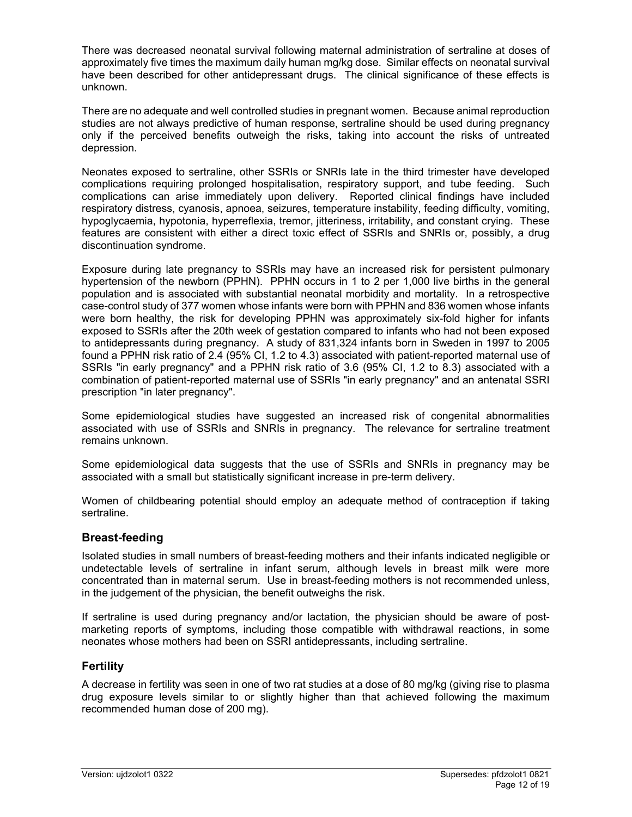There was decreased neonatal survival following maternal administration of sertraline at doses of approximately five times the maximum daily human mg/kg dose. Similar effects on neonatal survival have been described for other antidepressant drugs. The clinical significance of these effects is unknown.

There are no adequate and well controlled studies in pregnant women. Because animal reproduction studies are not always predictive of human response, sertraline should be used during pregnancy only if the perceived benefits outweigh the risks, taking into account the risks of untreated depression.

Neonates exposed to sertraline, other SSRIs or SNRIs late in the third trimester have developed complications requiring prolonged hospitalisation, respiratory support, and tube feeding. Such complications can arise immediately upon delivery. Reported clinical findings have included respiratory distress, cyanosis, apnoea, seizures, temperature instability, feeding difficulty, vomiting, hypoglycaemia, hypotonia, hyperreflexia, tremor, jitteriness, irritability, and constant crying. These features are consistent with either a direct toxic effect of SSRIs and SNRIs or, possibly, a drug discontinuation syndrome.

Exposure during late pregnancy to SSRIs may have an increased risk for persistent pulmonary hypertension of the newborn (PPHN). PPHN occurs in 1 to 2 per 1,000 live births in the general population and is associated with substantial neonatal morbidity and mortality. In a retrospective case-control study of 377 women whose infants were born with PPHN and 836 women whose infants were born healthy, the risk for developing PPHN was approximately six-fold higher for infants exposed to SSRIs after the 20th week of gestation compared to infants who had not been exposed to antidepressants during pregnancy. A study of 831,324 infants born in Sweden in 1997 to 2005 found a PPHN risk ratio of 2.4 (95% CI, 1.2 to 4.3) associated with patient-reported maternal use of SSRIs "in early pregnancy" and a PPHN risk ratio of 3.6 (95% CI, 1.2 to 8.3) associated with a combination of patient-reported maternal use of SSRIs "in early pregnancy" and an antenatal SSRI prescription "in later pregnancy".

Some epidemiological studies have suggested an increased risk of congenital abnormalities associated with use of SSRIs and SNRIs in pregnancy. The relevance for sertraline treatment remains unknown.

Some epidemiological data suggests that the use of SSRIs and SNRIs in pregnancy may be associated with a small but statistically significant increase in pre-term delivery.

Women of childbearing potential should employ an adequate method of contraception if taking sertraline.

## **Breast-feeding**

Isolated studies in small numbers of breast-feeding mothers and their infants indicated negligible or undetectable levels of sertraline in infant serum, although levels in breast milk were more concentrated than in maternal serum. Use in breast-feeding mothers is not recommended unless, in the judgement of the physician, the benefit outweighs the risk.

If sertraline is used during pregnancy and/or lactation, the physician should be aware of postmarketing reports of symptoms, including those compatible with withdrawal reactions, in some neonates whose mothers had been on SSRI antidepressants, including sertraline.

## **Fertility**

A decrease in fertility was seen in one of two rat studies at a dose of 80 mg/kg (giving rise to plasma drug exposure levels similar to or slightly higher than that achieved following the maximum recommended human dose of 200 mg).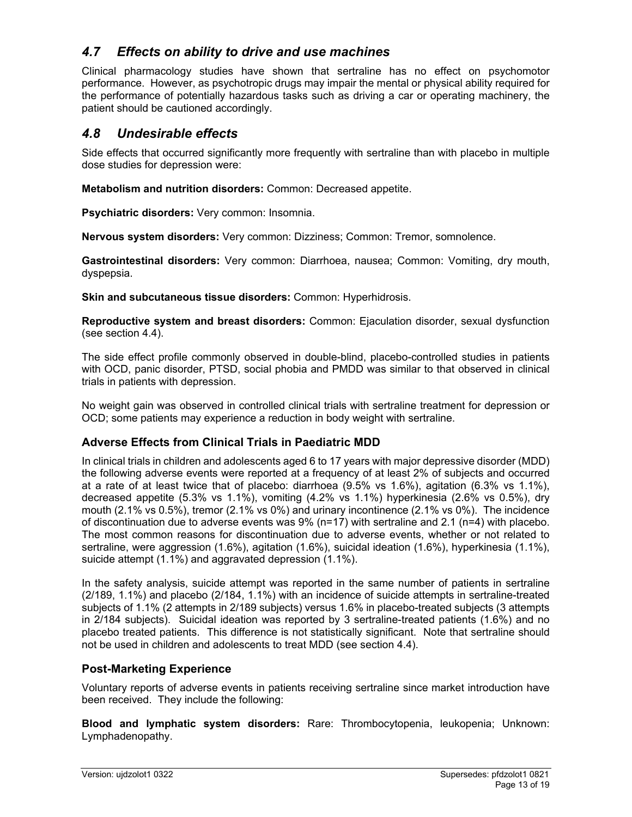# *4.7 Effects on ability to drive and use machines*

Clinical pharmacology studies have shown that sertraline has no effect on psychomotor performance. However, as psychotropic drugs may impair the mental or physical ability required for the performance of potentially hazardous tasks such as driving a car or operating machinery, the patient should be cautioned accordingly.

# *4.8 Undesirable effects*

Side effects that occurred significantly more frequently with sertraline than with placebo in multiple dose studies for depression were:

**Metabolism and nutrition disorders:** Common: Decreased appetite.

**Psychiatric disorders:** Very common: Insomnia.

**Nervous system disorders:** Very common: Dizziness; Common: Tremor, somnolence.

**Gastrointestinal disorders:** Very common: Diarrhoea, nausea; Common: Vomiting, dry mouth, dyspepsia.

**Skin and subcutaneous tissue disorders:** Common: Hyperhidrosis.

**Reproductive system and breast disorders:** Common: Ejaculation disorder, sexual dysfunction (see section 4.4).

The side effect profile commonly observed in double-blind, placebo-controlled studies in patients with OCD, panic disorder, PTSD, social phobia and PMDD was similar to that observed in clinical trials in patients with depression.

No weight gain was observed in controlled clinical trials with sertraline treatment for depression or OCD; some patients may experience a reduction in body weight with sertraline.

# **Adverse Effects from Clinical Trials in Paediatric MDD**

In clinical trials in children and adolescents aged 6 to 17 years with major depressive disorder (MDD) the following adverse events were reported at a frequency of at least 2% of subjects and occurred at a rate of at least twice that of placebo: diarrhoea (9.5% vs 1.6%), agitation (6.3% vs 1.1%), decreased appetite (5.3% vs 1.1%), vomiting (4.2% vs 1.1%) hyperkinesia (2.6% vs 0.5%), dry mouth (2.1% vs 0.5%), tremor (2.1% vs 0%) and urinary incontinence (2.1% vs 0%). The incidence of discontinuation due to adverse events was 9% (n=17) with sertraline and 2.1 (n=4) with placebo. The most common reasons for discontinuation due to adverse events, whether or not related to sertraline, were aggression (1.6%), agitation (1.6%), suicidal ideation (1.6%), hyperkinesia (1.1%), suicide attempt (1.1%) and aggravated depression (1.1%).

In the safety analysis, suicide attempt was reported in the same number of patients in sertraline (2/189, 1.1%) and placebo (2/184, 1.1%) with an incidence of suicide attempts in sertraline-treated subjects of 1.1% (2 attempts in 2/189 subjects) versus 1.6% in placebo-treated subjects (3 attempts in 2/184 subjects). Suicidal ideation was reported by 3 sertraline-treated patients (1.6%) and no placebo treated patients. This difference is not statistically significant. Note that sertraline should not be used in children and adolescents to treat MDD (see section 4.4).

## **Post-Marketing Experience**

Voluntary reports of adverse events in patients receiving sertraline since market introduction have been received. They include the following:

**Blood and lymphatic system disorders:** Rare: Thrombocytopenia, leukopenia; Unknown: Lymphadenopathy.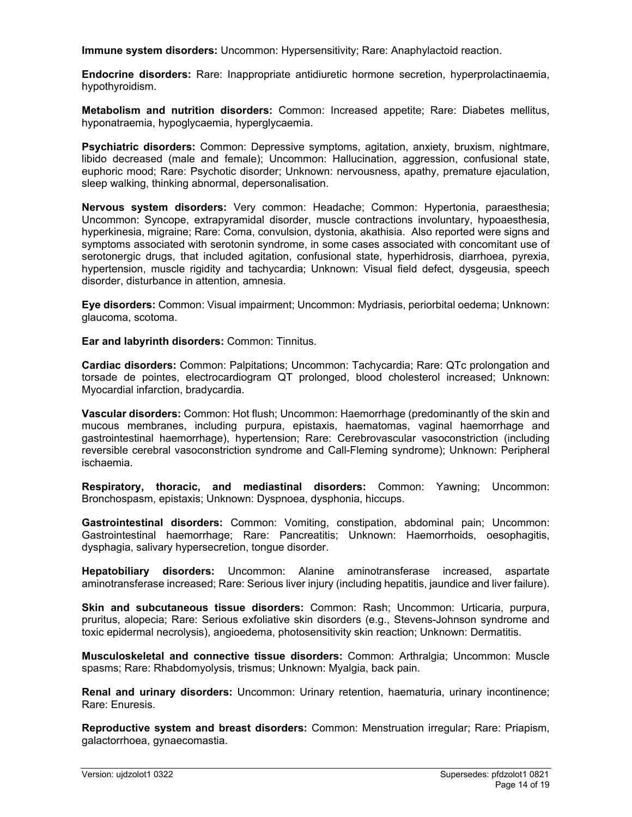**Immune system disorders:** Uncommon: Hypersensitivity; Rare: Anaphylactoid reaction.

**Endocrine disorders:** Rare: Inappropriate antidiuretic hormone secretion, hyperprolactinaemia, hypothyroidism.

**Metabolism and nutrition disorders:** Common: Increased appetite; Rare: Diabetes mellitus, hyponatraemia, hypoglycaemia, hyperglycaemia.

**Psychiatric disorders:** Common: Depressive symptoms, agitation, anxiety, bruxism, nightmare, libido decreased (male and female); Uncommon: Hallucination, aggression, confusional state, euphoric mood; Rare: Psychotic disorder; Unknown: nervousness, apathy, premature ejaculation, sleep walking, thinking abnormal, depersonalisation.

**Nervous system disorders:** Very common: Headache; Common: Hypertonia, paraesthesia; Uncommon: Syncope, extrapyramidal disorder, muscle contractions involuntary, hypoaesthesia, hyperkinesia, migraine; Rare: Coma, convulsion, dystonia, akathisia. Also reported were signs and symptoms associated with serotonin syndrome, in some cases associated with concomitant use of serotonergic drugs, that included agitation, confusional state, hyperhidrosis, diarrhoea, pyrexia, hypertension, muscle rigidity and tachycardia; Unknown: Visual field defect, dysgeusia, speech disorder, disturbance in attention, amnesia.

**Eye disorders:** Common: Visual impairment; Uncommon: Mydriasis, periorbital oedema; Unknown: glaucoma, scotoma.

**Ear and labyrinth disorders:** Common: Tinnitus.

**Cardiac disorders:** Common: Palpitations; Uncommon: Tachycardia; Rare: QTc prolongation and torsade de pointes, electrocardiogram QT prolonged, blood cholesterol increased; Unknown: Myocardial infarction, bradycardia.

**Vascular disorders:** Common: Hot flush; Uncommon: Haemorrhage (predominantly of the skin and mucous membranes, including purpura, epistaxis, haematomas, vaginal haemorrhage and gastrointestinal haemorrhage), hypertension; Rare: Cerebrovascular vasoconstriction (including reversible cerebral vasoconstriction syndrome and Call-Fleming syndrome); Unknown: Peripheral ischaemia.

**Respiratory, thoracic, and mediastinal disorders:** Common: Yawning; Uncommon: Bronchospasm, epistaxis; Unknown: Dyspnoea, dysphonia, hiccups.

**Gastrointestinal disorders:** Common: Vomiting, constipation, abdominal pain; Uncommon: Gastrointestinal haemorrhage; Rare: Pancreatitis; Unknown: Haemorrhoids, oesophagitis, dysphagia, salivary hypersecretion, tongue disorder.

**Hepatobiliary disorders:** Uncommon: Alanine aminotransferase increased, aspartate aminotransferase increased; Rare: Serious liver injury (including hepatitis, jaundice and liver failure).

**Skin and subcutaneous tissue disorders:** Common: Rash; Uncommon: Urticaria, purpura, pruritus, alopecia; Rare: Serious exfoliative skin disorders (e.g., Stevens-Johnson syndrome and toxic epidermal necrolysis), angioedema, photosensitivity skin reaction; Unknown: Dermatitis.

**Musculoskeletal and connective tissue disorders:** Common: Arthralgia; Uncommon: Muscle spasms; Rare: Rhabdomyolysis, trismus; Unknown: Myalgia, back pain.

**Renal and urinary disorders:** Uncommon: Urinary retention, haematuria, urinary incontinence; Rare: Enuresis.

**Reproductive system and breast disorders:** Common: Menstruation irregular; Rare: Priapism, galactorrhoea, gynaecomastia.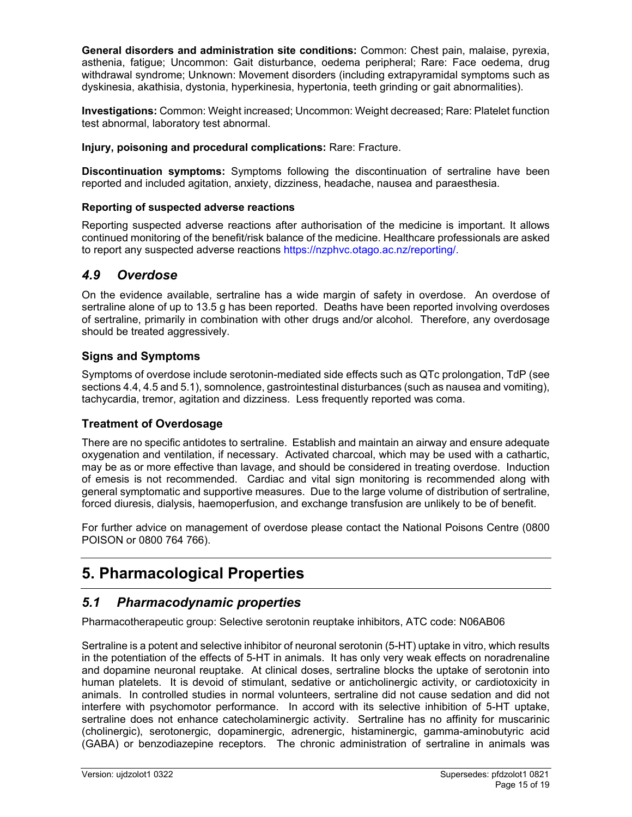**General disorders and administration site conditions:** Common: Chest pain, malaise, pyrexia, asthenia, fatigue; Uncommon: Gait disturbance, oedema peripheral; Rare: Face oedema, drug withdrawal syndrome; Unknown: Movement disorders (including extrapyramidal symptoms such as dyskinesia, akathisia, dystonia, hyperkinesia, hypertonia, teeth grinding or gait abnormalities).

**Investigations:** Common: Weight increased; Uncommon: Weight decreased; Rare: Platelet function test abnormal, laboratory test abnormal.

**Injury, poisoning and procedural complications:** Rare: Fracture.

**Discontinuation symptoms:** Symptoms following the discontinuation of sertraline have been reported and included agitation, anxiety, dizziness, headache, nausea and paraesthesia.

#### **Reporting of suspected adverse reactions**

Reporting suspected adverse reactions after authorisation of the medicine is important. It allows continued monitoring of the benefit/risk balance of the medicine. Healthcare professionals are asked to report any suspected adverse reactions https://nzphvc.otago.ac.nz/reporting/.

## *4.9 Overdose*

On the evidence available, sertraline has a wide margin of safety in overdose. An overdose of sertraline alone of up to 13.5 g has been reported. Deaths have been reported involving overdoses of sertraline, primarily in combination with other drugs and/or alcohol. Therefore, any overdosage should be treated aggressively.

## **Signs and Symptoms**

Symptoms of overdose include serotonin-mediated side effects such as QTc prolongation, TdP (see sections 4.4, 4.5 and 5.1), somnolence, gastrointestinal disturbances (such as nausea and vomiting), tachycardia, tremor, agitation and dizziness. Less frequently reported was coma.

## **Treatment of Overdosage**

There are no specific antidotes to sertraline. Establish and maintain an airway and ensure adequate oxygenation and ventilation, if necessary. Activated charcoal, which may be used with a cathartic, may be as or more effective than lavage, and should be considered in treating overdose. Induction of emesis is not recommended. Cardiac and vital sign monitoring is recommended along with general symptomatic and supportive measures. Due to the large volume of distribution of sertraline, forced diuresis, dialysis, haemoperfusion, and exchange transfusion are unlikely to be of benefit.

For further advice on management of overdose please contact the National Poisons Centre (0800 POISON or 0800 764 766).

# **5. Pharmacological Properties**

# *5.1 Pharmacodynamic properties*

Pharmacotherapeutic group: Selective serotonin reuptake inhibitors, ATC code: N06AB06

Sertraline is a potent and selective inhibitor of neuronal serotonin (5-HT) uptake in vitro, which results in the potentiation of the effects of 5-HT in animals. It has only very weak effects on noradrenaline and dopamine neuronal reuptake. At clinical doses, sertraline blocks the uptake of serotonin into human platelets. It is devoid of stimulant, sedative or anticholinergic activity, or cardiotoxicity in animals. In controlled studies in normal volunteers, sertraline did not cause sedation and did not interfere with psychomotor performance. In accord with its selective inhibition of 5-HT uptake, sertraline does not enhance catecholaminergic activity. Sertraline has no affinity for muscarinic (cholinergic), serotonergic, dopaminergic, adrenergic, histaminergic, gamma-aminobutyric acid (GABA) or benzodiazepine receptors. The chronic administration of sertraline in animals was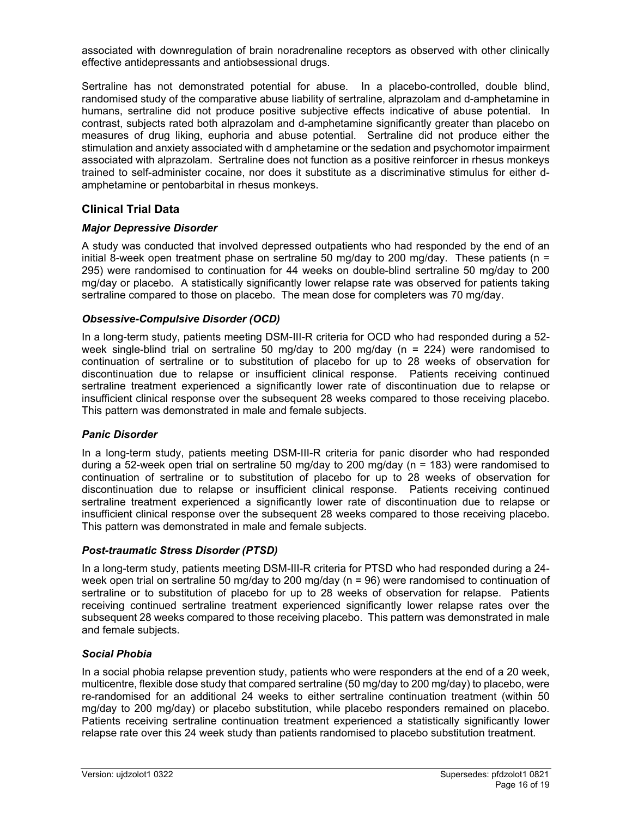associated with downregulation of brain noradrenaline receptors as observed with other clinically effective antidepressants and antiobsessional drugs.

Sertraline has not demonstrated potential for abuse. In a placebo-controlled, double blind, randomised study of the comparative abuse liability of sertraline, alprazolam and d-amphetamine in humans, sertraline did not produce positive subjective effects indicative of abuse potential. In contrast, subjects rated both alprazolam and d-amphetamine significantly greater than placebo on measures of drug liking, euphoria and abuse potential. Sertraline did not produce either the stimulation and anxiety associated with d amphetamine or the sedation and psychomotor impairment associated with alprazolam. Sertraline does not function as a positive reinforcer in rhesus monkeys trained to self-administer cocaine, nor does it substitute as a discriminative stimulus for either damphetamine or pentobarbital in rhesus monkeys.

## **Clinical Trial Data**

#### *Major Depressive Disorder*

A study was conducted that involved depressed outpatients who had responded by the end of an initial 8-week open treatment phase on sertraline 50 mg/day to 200 mg/day. These patients ( $n =$ 295) were randomised to continuation for 44 weeks on double-blind sertraline 50 mg/day to 200 mg/day or placebo. A statistically significantly lower relapse rate was observed for patients taking sertraline compared to those on placebo. The mean dose for completers was 70 mg/day.

#### *Obsessive-Compulsive Disorder (OCD)*

In a long-term study, patients meeting DSM-III-R criteria for OCD who had responded during a 52 week single-blind trial on sertraline 50 mg/day to 200 mg/day (n = 224) were randomised to continuation of sertraline or to substitution of placebo for up to 28 weeks of observation for discontinuation due to relapse or insufficient clinical response. Patients receiving continued sertraline treatment experienced a significantly lower rate of discontinuation due to relapse or insufficient clinical response over the subsequent 28 weeks compared to those receiving placebo. This pattern was demonstrated in male and female subjects.

#### *Panic Disorder*

In a long-term study, patients meeting DSM-III-R criteria for panic disorder who had responded during a 52-week open trial on sertraline 50 mg/day to 200 mg/day (n = 183) were randomised to continuation of sertraline or to substitution of placebo for up to 28 weeks of observation for discontinuation due to relapse or insufficient clinical response. Patients receiving continued sertraline treatment experienced a significantly lower rate of discontinuation due to relapse or insufficient clinical response over the subsequent 28 weeks compared to those receiving placebo. This pattern was demonstrated in male and female subjects.

#### *Post-traumatic Stress Disorder (PTSD)*

In a long-term study, patients meeting DSM-III-R criteria for PTSD who had responded during a 24 week open trial on sertraline 50 mg/day to 200 mg/day (n = 96) were randomised to continuation of sertraline or to substitution of placebo for up to 28 weeks of observation for relapse. Patients receiving continued sertraline treatment experienced significantly lower relapse rates over the subsequent 28 weeks compared to those receiving placebo. This pattern was demonstrated in male and female subjects.

#### *Social Phobia*

In a social phobia relapse prevention study, patients who were responders at the end of a 20 week, multicentre, flexible dose study that compared sertraline (50 mg/day to 200 mg/day) to placebo, were re-randomised for an additional 24 weeks to either sertraline continuation treatment (within 50 mg/day to 200 mg/day) or placebo substitution, while placebo responders remained on placebo. Patients receiving sertraline continuation treatment experienced a statistically significantly lower relapse rate over this 24 week study than patients randomised to placebo substitution treatment.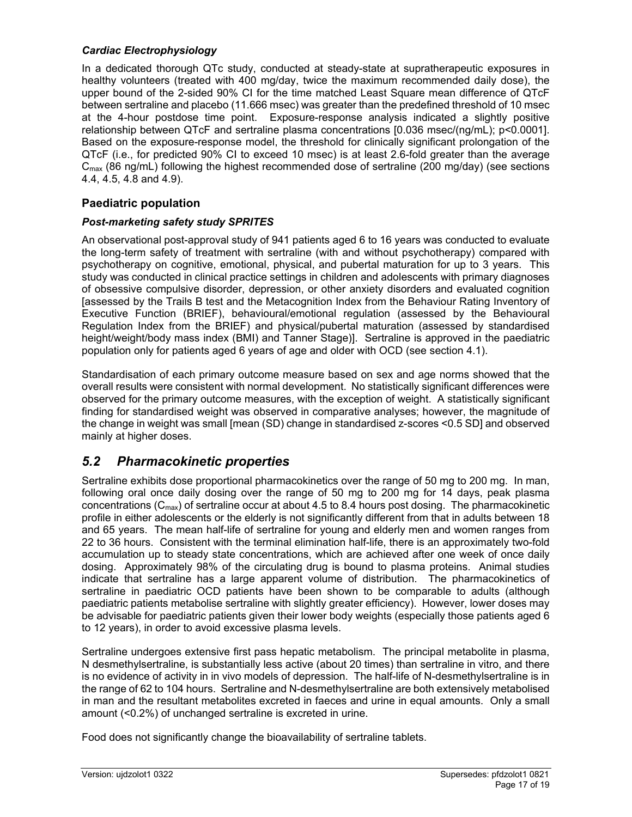## *Cardiac Electrophysiology*

In a dedicated thorough QTc study, conducted at steady-state at supratherapeutic exposures in healthy volunteers (treated with 400 mg/day, twice the maximum recommended daily dose), the upper bound of the 2-sided 90% CI for the time matched Least Square mean difference of QTcF between sertraline and placebo (11.666 msec) was greater than the predefined threshold of 10 msec at the 4-hour postdose time point. Exposure-response analysis indicated a slightly positive relationship between QTcF and sertraline plasma concentrations [0.036 msec/(ng/mL); p<0.0001]. Based on the exposure-response model, the threshold for clinically significant prolongation of the QTcF (i.e., for predicted 90% CI to exceed 10 msec) is at least 2.6-fold greater than the average  $C_{\text{max}}$  (86 ng/mL) following the highest recommended dose of sertraline (200 mg/day) (see sections 4.4, 4.5, 4.8 and 4.9).

# **Paediatric population**

# *Post-marketing safety study SPRITES*

An observational post-approval study of 941 patients aged 6 to 16 years was conducted to evaluate the long-term safety of treatment with sertraline (with and without psychotherapy) compared with psychotherapy on cognitive, emotional, physical, and pubertal maturation for up to 3 years. This study was conducted in clinical practice settings in children and adolescents with primary diagnoses of obsessive compulsive disorder, depression, or other anxiety disorders and evaluated cognition [assessed by the Trails B test and the Metacognition Index from the Behaviour Rating Inventory of Executive Function (BRIEF), behavioural/emotional regulation (assessed by the Behavioural Regulation Index from the BRIEF) and physical/pubertal maturation (assessed by standardised height/weight/body mass index (BMI) and Tanner Stage)]. Sertraline is approved in the paediatric population only for patients aged 6 years of age and older with OCD (see section 4.1).

Standardisation of each primary outcome measure based on sex and age norms showed that the overall results were consistent with normal development. No statistically significant differences were observed for the primary outcome measures, with the exception of weight. A statistically significant finding for standardised weight was observed in comparative analyses; however, the magnitude of the change in weight was small [mean (SD) change in standardised z-scores <0.5 SD] and observed mainly at higher doses.

# *5.2 Pharmacokinetic properties*

Sertraline exhibits dose proportional pharmacokinetics over the range of 50 mg to 200 mg. In man, following oral once daily dosing over the range of 50 mg to 200 mg for 14 days, peak plasma concentrations (C<sub>max</sub>) of sertraline occur at about 4.5 to 8.4 hours post dosing. The pharmacokinetic profile in either adolescents or the elderly is not significantly different from that in adults between 18 and 65 years. The mean half-life of sertraline for young and elderly men and women ranges from 22 to 36 hours. Consistent with the terminal elimination half-life, there is an approximately two-fold accumulation up to steady state concentrations, which are achieved after one week of once daily dosing. Approximately 98% of the circulating drug is bound to plasma proteins. Animal studies indicate that sertraline has a large apparent volume of distribution. The pharmacokinetics of sertraline in paediatric OCD patients have been shown to be comparable to adults (although paediatric patients metabolise sertraline with slightly greater efficiency). However, lower doses may be advisable for paediatric patients given their lower body weights (especially those patients aged 6 to 12 years), in order to avoid excessive plasma levels.

Sertraline undergoes extensive first pass hepatic metabolism. The principal metabolite in plasma, N desmethylsertraline, is substantially less active (about 20 times) than sertraline in vitro, and there is no evidence of activity in in vivo models of depression. The half-life of N-desmethylsertraline is in the range of 62 to 104 hours. Sertraline and N-desmethylsertraline are both extensively metabolised in man and the resultant metabolites excreted in faeces and urine in equal amounts. Only a small amount (<0.2%) of unchanged sertraline is excreted in urine.

Food does not significantly change the bioavailability of sertraline tablets.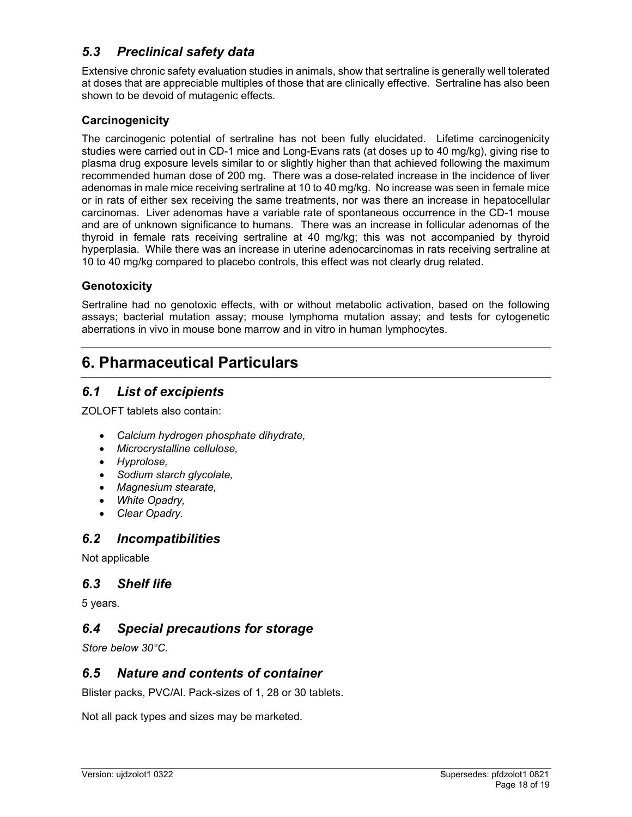# *5.3 Preclinical safety data*

Extensive chronic safety evaluation studies in animals, show that sertraline is generally well tolerated at doses that are appreciable multiples of those that are clinically effective. Sertraline has also been shown to be devoid of mutagenic effects.

## **Carcinogenicity**

The carcinogenic potential of sertraline has not been fully elucidated. Lifetime carcinogenicity studies were carried out in CD-1 mice and Long-Evans rats (at doses up to 40 mg/kg), giving rise to plasma drug exposure levels similar to or slightly higher than that achieved following the maximum recommended human dose of 200 mg. There was a dose-related increase in the incidence of liver adenomas in male mice receiving sertraline at 10 to 40 mg/kg. No increase was seen in female mice or in rats of either sex receiving the same treatments, nor was there an increase in hepatocellular carcinomas. Liver adenomas have a variable rate of spontaneous occurrence in the CD-1 mouse and are of unknown significance to humans. There was an increase in follicular adenomas of the thyroid in female rats receiving sertraline at 40 mg/kg; this was not accompanied by thyroid hyperplasia. While there was an increase in uterine adenocarcinomas in rats receiving sertraline at 10 to 40 mg/kg compared to placebo controls, this effect was not clearly drug related.

## **Genotoxicity**

Sertraline had no genotoxic effects, with or without metabolic activation, based on the following assays; bacterial mutation assay; mouse lymphoma mutation assay; and tests for cytogenetic aberrations in vivo in mouse bone marrow and in vitro in human lymphocytes.

# **6. Pharmaceutical Particulars**

# *6.1 List of excipients*

ZOLOFT tablets also contain:

- *Calcium hydrogen phosphate dihydrate,*
- *Microcrystalline cellulose,*
- *Hyprolose,*
- *Sodium starch glycolate,*
- *Magnesium stearate,*
- *White Opadry,*
- *Clear Opadry.*

# *6.2 Incompatibilities*

Not applicable

# *6.3 Shelf life*

5 years.

# *6.4 Special precautions for storage*

*Store below 30°C.* 

# *6.5 Nature and contents of container*

Blister packs, PVC/Al. Pack-sizes of 1, 28 or 30 tablets.

Not all pack types and sizes may be marketed.